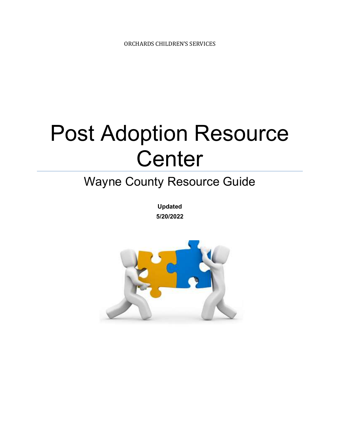# Post Adoption Resource **Center**

## Wayne County Resource Guide

Updated 5/20/2022

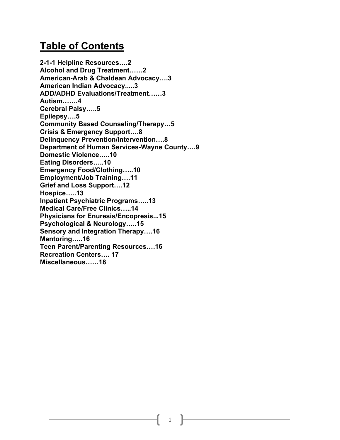#### Table of Contents

2-1-1 Helpline Resources….2 Alcohol and Drug Treatment……2 American-Arab & Chaldean Advocacy….3 American Indian Advocacy.....3 ADD/ADHD Evaluations/Treatment……3 Autism…….4 Cerebral Palsy…..5 Epilepsy….5 Community Based Counseling/Therapy…5 Crisis & Emergency Support….8 Delinquency Prevention/Intervention….8 Department of Human Services-Wayne County….9 Domestic Violence…..10 Eating Disorders…..10 Emergency Food/Clothing…..10 Employment/Job Training….11 Grief and Loss Support….12 Hospice…..13 Inpatient Psychiatric Programs…..13 Medical Care/Free Clinics…..14 Physicians for Enuresis/Encopresis...15 Psychological & Neurology…..15 Sensory and Integration Therapy….16 Mentoring…..16 Teen Parent/Parenting Resources….16 Recreation Centers…. 17 Miscellaneous……18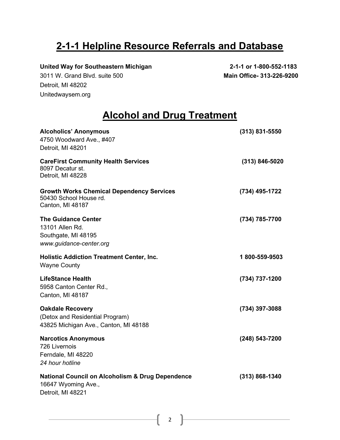#### 2-1-1 Helpline Resource Referrals and Database

United Way for Southeastern Michigan 2-1-1 or 1-800-552-1183

3011 W. Grand Blvd. suite 500 Main Office- 313-226-9200 Detroit, MI 48202 Unitedwaysem.org

#### Alcohol and Drug Treatment

| <b>Alcoholics' Anonymous</b><br>4750 Woodward Ave., #407<br>Detroit, MI 48201                           | $(313)$ 831-5550   |
|---------------------------------------------------------------------------------------------------------|--------------------|
| <b>CareFirst Community Health Services</b><br>8097 Decatur st.<br>Detroit, MI 48228                     | $(313) 846 - 5020$ |
| <b>Growth Works Chemical Dependency Services</b><br>50430 School House rd.<br>Canton, MI 48187          | (734) 495-1722     |
| <b>The Guidance Center</b><br>13101 Allen Rd.<br>Southgate, MI 48195<br>www.guidance-center.org         | (734) 785-7700     |
| <b>Holistic Addiction Treatment Center, Inc.</b><br><b>Wayne County</b>                                 | 1800-559-9503      |
| <b>LifeStance Health</b><br>5958 Canton Center Rd.,<br>Canton, MI 48187                                 | (734) 737-1200     |
| <b>Oakdale Recovery</b><br>(Detox and Residential Program)<br>43825 Michigan Ave., Canton, MI 48188     | (734) 397-3088     |
| <b>Narcotics Anonymous</b><br>726 Livernois<br>Ferndale, MI 48220<br>24 hour hotline                    | (248) 543-7200     |
| <b>National Council on Alcoholism &amp; Drug Dependence</b><br>16647 Wyoming Ave.,<br>Detroit, MI 48221 | $(313) 868 - 1340$ |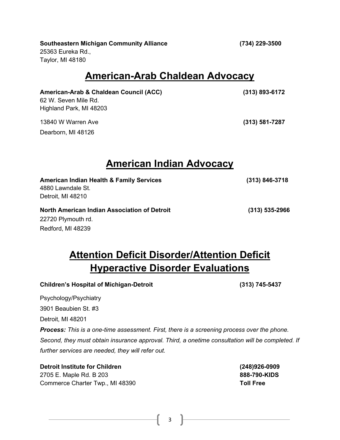#### Southeastern Michigan Community Alliance (734) 229-3500

25363 Eureka Rd., Taylor, MI 48180

#### American-Arab Chaldean Advocacy

American-Arab & Chaldean Council (ACC) (313) 893-6172 62 W. Seven Mile Rd. Highland Park, MI 48203

13840 W Warren Ave (313) 581-7287

Dearborn, MI 48126

Redford, MI 48239

#### American Indian Advocacy

| <b>American Indian Health &amp; Family Services</b> | $(313) 846 - 3718$ |
|-----------------------------------------------------|--------------------|
| 4880 Lawndale St.                                   |                    |
| Detroit, MI 48210                                   |                    |
| North American Indian Association of Detroit        | $(313) 535 - 2966$ |
| 22720 Plymouth rd.                                  |                    |

#### **Attention Deficit Disorder/Attention Deficit** Hyperactive Disorder Evaluations

#### Children's Hospital of Michigan-Detroit (313) 745-5437 Psychology/Psychiatry 3901 Beaubien St. #3 Detroit, MI 48201 Process: This is a one-time assessment. First, there is a screening process over the phone. Second, they must obtain insurance approval. Third, a onetime consultation will be completed. If further services are needed, they will refer out.

Detroit Institute for Children (248)926-0909 2705 E. Maple Rd. B 203 **888-790-KIDS** Commerce Charter Twp., MI 48390 **Toll Free**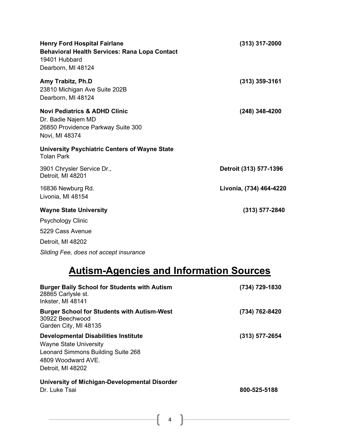| <b>Henry Ford Hospital Fairlane</b><br><b>Behavioral Health Services: Rana Lopa Contact</b><br>19401 Hubbard<br>Dearborn, MI 48124 | $(313)$ 317-2000        |
|------------------------------------------------------------------------------------------------------------------------------------|-------------------------|
| Amy Trabitz, Ph.D<br>23810 Michigan Ave Suite 202B<br>Dearborn, MI 48124                                                           | $(313)$ 359-3161        |
| <b>Novi Pediatrics &amp; ADHD Clinic</b><br>Dr. Badie Najem MD<br>26850 Providence Parkway Suite 300<br>Novi, MI 48374             | $(248)$ 348-4200        |
| <b>University Psychiatric Centers of Wayne State</b><br><b>Tolan Park</b>                                                          |                         |
| 3901 Chrysler Service Dr.,<br>Detroit, MI 48201                                                                                    | Detroit (313) 577-1396  |
| 16836 Newburg Rd.<br>Livonia, MI 48154                                                                                             | Livonia, (734) 464-4220 |
| <b>Wayne State University</b>                                                                                                      | $(313)$ 577-2840        |
| <b>Psychology Clinic</b>                                                                                                           |                         |
| 5229 Cass Avenue                                                                                                                   |                         |
| Detroit, MI 48202                                                                                                                  |                         |

Sliding Fee, does not accept insurance

# Autism-Agencies and Information Sources

| <b>Burger Baily School for Students with Autism</b><br>28865 Carlysle st.<br>Inkster, MI 48141                                                                | (734) 729-1830 |
|---------------------------------------------------------------------------------------------------------------------------------------------------------------|----------------|
| <b>Burger School for Students with Autism-West</b><br>30922 Beechwood<br>Garden City, MI 48135                                                                | (734) 762-8420 |
| <b>Developmental Disabilities Institute</b><br><b>Wayne State University</b><br>Leonard Simmons Building Suite 268<br>4809 Woodward AVE.<br>Detroit, MI 48202 | (313) 577-2654 |
| University of Michigan-Developmental Disorder<br>Dr. Luke Tsai                                                                                                | 800-525-5188   |

 $\begin{array}{ccc} & 4 \end{array}$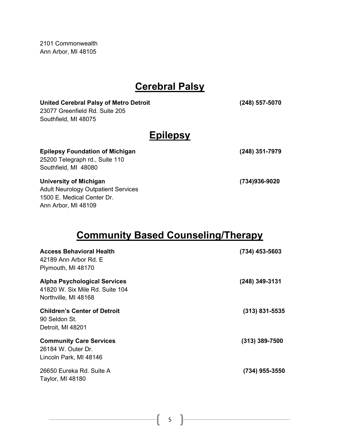2101 Commonwealth Ann Arbor, MI 48105

Ann Arbor, MI 48109

#### Cerebral Palsy

| <b>United Cerebral Palsy of Metro Detroit</b><br>23077 Greenfield Rd. Suite 205<br>Southfield, MI 48075 | (248) 557-5070 |
|---------------------------------------------------------------------------------------------------------|----------------|
| <b>Epilepsy</b>                                                                                         |                |
| <b>Epilepsy Foundation of Michigan</b><br>25200 Telegraph rd., Suite 110<br>Southfield, MI 48080        | (248) 351-7979 |
| University of Michigan<br><b>Adult Neurology Outpatient Services</b><br>1500 E. Medical Center Dr.      | (734)936-9020  |

#### Community Based Counseling/Therapy

| <b>Access Behavioral Health</b><br>42189 Ann Arbor Rd. E<br>Plymouth, MI 48170                 | $(734)$ 453-5603 |
|------------------------------------------------------------------------------------------------|------------------|
| <b>Alpha Psychological Services</b><br>41820 W. Six Mile Rd. Suite 104<br>Northville, MI 48168 | $(248)$ 349-3131 |
| <b>Children's Center of Detroit</b><br>90 Seldon St.<br>Detroit, MI 48201                      | $(313)$ 831-5535 |
| <b>Community Care Services</b><br>26184 W. Outer Dr.<br>Lincoln Park, MI 48146                 | $(313)$ 389-7500 |
| 26650 Eureka Rd. Suite A<br>Taylor, MI 48180                                                   | (734) 955-3550   |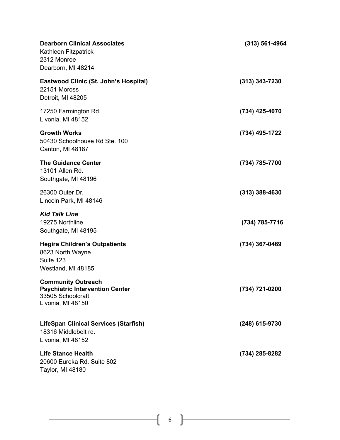| <b>Dearborn Clinical Associates</b><br>Kathleen Fitzpatrick<br>2312 Monroe<br>Dearborn, MI 48214              | $(313) 561 - 4964$ |
|---------------------------------------------------------------------------------------------------------------|--------------------|
| <b>Eastwood Clinic (St. John's Hospital)</b><br>22151 Moross<br>Detroit, MI 48205                             | $(313)$ 343-7230   |
| 17250 Farmington Rd.<br>Livonia, MI 48152                                                                     | (734) 425-4070     |
| <b>Growth Works</b><br>50430 Schoolhouse Rd Ste. 100<br>Canton, MI 48187                                      | (734) 495-1722     |
| <b>The Guidance Center</b><br>13101 Allen Rd.<br>Southgate, MI 48196                                          | (734) 785-7700     |
| 26300 Outer Dr.<br>Lincoln Park, MI 48146                                                                     | $(313)$ 388-4630   |
| <b>Kid Talk Line</b><br>19275 Northline<br>Southgate, MI 48195                                                | (734) 785-7716     |
| <b>Hegira Children's Outpatients</b><br>8623 North Wayne<br>Suite 123<br>Westland, MI 48185                   | (734) 367-0469     |
| <b>Community Outreach</b><br><b>Psychiatric Intervention Center</b><br>33505 Schoolcraft<br>Livonia, MI 48150 | (734) 721-0200     |
| <b>LifeSpan Clinical Services (Starfish)</b><br>18316 Middlebelt rd.<br>Livonia, MI 48152                     | (248) 615-9730     |
| <b>Life Stance Health</b><br>20600 Eureka Rd. Suite 802<br>Taylor, MI 48180                                   | (734) 285-8282     |

i,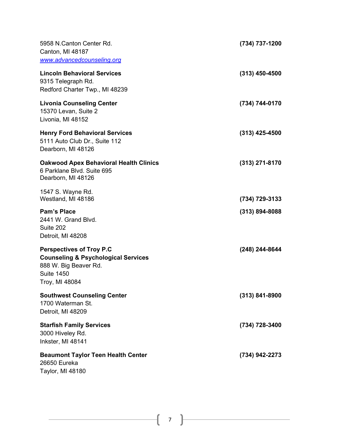| 5958 N.Canton Center Rd.<br>Canton, MI 48187<br>www.advancedcounseling.org                                                                        | (734) 737-1200     |
|---------------------------------------------------------------------------------------------------------------------------------------------------|--------------------|
| <b>Lincoln Behavioral Services</b><br>9315 Telegraph Rd.<br>Redford Charter Twp., MI 48239                                                        | $(313)$ 450-4500   |
| <b>Livonia Counseling Center</b><br>15370 Levan, Suite 2<br>Livonia, MI 48152                                                                     | (734) 744-0170     |
| <b>Henry Ford Behavioral Services</b><br>5111 Auto Club Dr., Suite 112<br>Dearborn, MI 48126                                                      | $(313)$ 425-4500   |
| <b>Oakwood Apex Behavioral Health Clinics</b><br>6 Parklane Blvd. Suite 695<br>Dearborn, MI 48126                                                 | (313) 271-8170     |
| 1547 S. Wayne Rd.<br>Westland, MI 48186                                                                                                           | (734) 729-3133     |
| <b>Pam's Place</b><br>2441 W. Grand Blvd.<br>Suite 202<br>Detroit, MI 48208                                                                       | $(313) 894 - 8088$ |
| <b>Perspectives of Troy P.C</b><br><b>Counseling &amp; Psychological Services</b><br>888 W. Big Beaver Rd.<br><b>Suite 1450</b><br>Troy, MI 48084 | (248) 244-8644     |
| <b>Southwest Counseling Center</b><br>1700 Waterman St.<br>Detroit, MI 48209                                                                      | $(313) 841 - 8900$ |
| <b>Starfish Family Services</b><br>3000 Hiveley Rd.<br>Inkster, MI 48141                                                                          | (734) 728-3400     |
| <b>Beaumont Taylor Teen Health Center</b><br>26650 Eureka<br>Taylor, MI 48180                                                                     | (734) 942-2273     |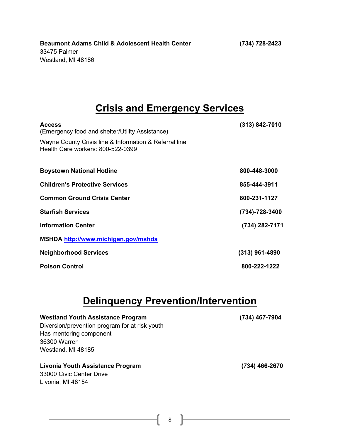#### Crisis and Emergency Services

| <b>Access</b><br>(Emergency food and shelter/Utility Assistance)                            | $(313) 842 - 7010$   |
|---------------------------------------------------------------------------------------------|----------------------|
| Wayne County Crisis line & Information & Referral line<br>Health Care workers: 800-522-0399 |                      |
| <b>Boystown National Hotline</b>                                                            | 800-448-3000         |
| <b>Children's Protective Services</b>                                                       | 855-444-3911         |
| <b>Common Ground Crisis Center</b>                                                          | 800-231-1127         |
| <b>Starfish Services</b>                                                                    | $(734) - 728 - 3400$ |
| <b>Information Center</b>                                                                   | (734) 282-7171       |
| MSHDA http://www.michigan.gov/mshda                                                         |                      |
| <b>Neighborhood Services</b>                                                                | $(313)$ 961-4890     |
| <b>Poison Control</b>                                                                       | 800-222-1222         |

#### Delinquency Prevention/Intervention

| <b>Westland Youth Assistance Program</b><br>Diversion/prevention program for at risk youth<br>Has mentoring component<br>36300 Warren<br>Westland, MI 48185 | (734) 467-7904 |
|-------------------------------------------------------------------------------------------------------------------------------------------------------------|----------------|
| Livonia Youth Assistance Program<br>33000 Civic Center Drive<br>Livonia, MI 48154                                                                           | (734) 466-2670 |

8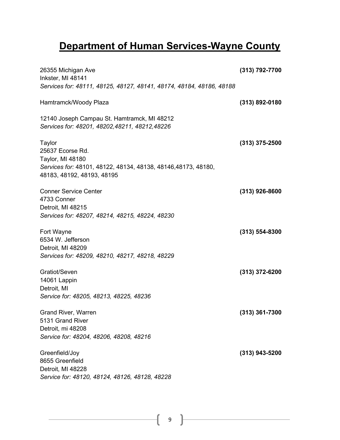## Department of Human Services-Wayne County

| 26355 Michigan Ave<br>Inkster, MI 48141                                                        | (313) 792-7700     |
|------------------------------------------------------------------------------------------------|--------------------|
| Services for: 48111, 48125, 48127, 48141, 48174, 48184, 48186, 48188                           |                    |
| Hamtramck/Woody Plaza                                                                          | $(313) 892 - 0180$ |
| 12140 Joseph Campau St. Hamtramck, MI 48212<br>Services for: 48201, 48202, 48211, 48212, 48226 |                    |
| Taylor                                                                                         | $(313)$ 375-2500   |
| 25637 Ecorse Rd.<br>Taylor, MI 48180                                                           |                    |
| Services for: 48101, 48122, 48134, 48138, 48146, 48173, 48180,<br>48183, 48192, 48193, 48195   |                    |
| <b>Conner Service Center</b>                                                                   | $(313)$ 926-8600   |
| 4733 Conner<br>Detroit, MI 48215                                                               |                    |
| Services for: 48207, 48214, 48215, 48224, 48230                                                |                    |
| Fort Wayne                                                                                     | $(313) 554 - 8300$ |
| 6534 W. Jefferson<br>Detroit, MI 48209                                                         |                    |
| Services for: 48209, 48210, 48217, 48218, 48229                                                |                    |
| Gratiot/Seven                                                                                  | $(313)$ 372-6200   |
| 14061 Lappin<br>Detroit, MI                                                                    |                    |
| Service for: 48205, 48213, 48225, 48236                                                        |                    |
| <b>Grand River, Warren</b>                                                                     | $(313)$ 361-7300   |
| 5131 Grand River<br>Detroit, mi 48208                                                          |                    |
| Service for: 48204, 48206, 48208, 48216                                                        |                    |
| Greenfield/Joy                                                                                 | (313) 943-5200     |
| 8655 Greenfield<br>Detroit, MI 48228                                                           |                    |
| Service for: 48120, 48124, 48126, 48128, 48228                                                 |                    |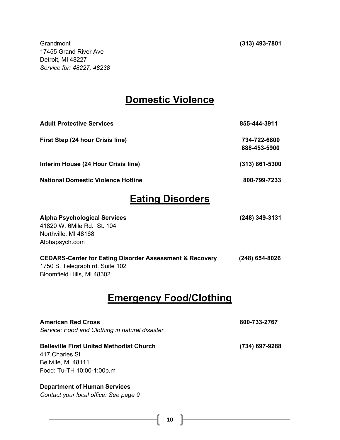Grandmont (313) 493-7801 17455 Grand River Ave Detroit, MI 48227 Service for: 48227, 48238

#### Domestic Violence

| 855-444-3911       |
|--------------------|
| 734-722-6800       |
| 888-453-5900       |
| $(313) 861 - 5300$ |
| 800-799-7233       |
|                    |

#### Eating Disorders

| <b>Alpha Psychological Services</b>                                | (248) 349-3131 |
|--------------------------------------------------------------------|----------------|
| 41820 W. 6Mile Rd. St. 104                                         |                |
| Northville, MI 48168                                               |                |
| Alphapsych.com                                                     |                |
| <b>CEDARS-Center for Eating Disorder Assessment &amp; Recovery</b> | (248) 654-8026 |
| 1750 S. Telegraph rd. Suite 102                                    |                |
| Bloomfield Hills, MI 48302                                         |                |

#### Emergency Food/Clothing

| <b>American Red Cross</b>                       | 800-733-2767   |
|-------------------------------------------------|----------------|
| Service: Food and Clothing in natural disaster  |                |
| <b>Belleville First United Methodist Church</b> | (734) 697-9288 |
| 417 Charles St.                                 |                |
| Bellville, MI 48111                             |                |
| Food: Tu-TH 10:00-1:00p.m                       |                |
| <b>Department of Human Services</b>             |                |
| Contact your local office: See page 9           |                |
|                                                 |                |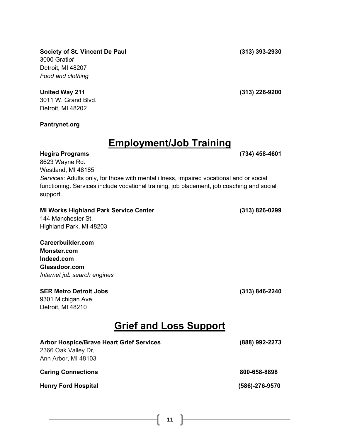Society of St. Vincent De Paul (313) 393-2930 3000 Gratiot Detroit, MI 48207 Food and clothing

3011 W. Grand Blvd. Detroit, MI 48202

Pantrynet.org

#### Employment/Job Training

Hegira Programs (734) 458-4601 8623 Wayne Rd. Westland, MI 48185

Services: Adults only, for those with mental illness, impaired vocational and or social functioning. Services include vocational training, job placement, job coaching and social support.

MI Works Highland Park Service Center (313) 826-0299 144 Manchester St. Highland Park, MI 48203

Careerbuilder.com Monster.com Indeed.com Glassdoor.com Internet job search engines

#### SER Metro Detroit Jobs (313) 846-2240

9301 Michigan Ave. Detroit, MI 48210

#### Grief and Loss Support

| <b>Arbor Hospice/Brave Heart Grief Services</b> | (888) 992-2273       |
|-------------------------------------------------|----------------------|
| 2366 Oak Valley Dr.                             |                      |
| Ann Arbor, MI 48103                             |                      |
|                                                 |                      |
| <b>Caring Connections</b>                       | 800-658-8898         |
| <b>Henry Ford Hospital</b>                      | $(586) - 276 - 9570$ |
|                                                 |                      |

United Way 211 (313) 226-9200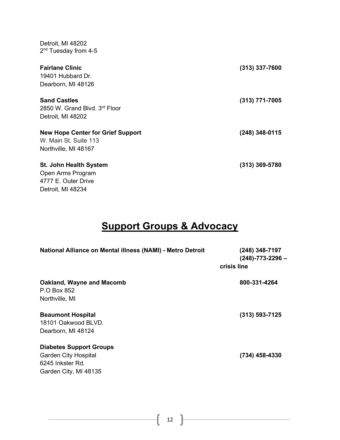| 2 <sup>nd</sup> Tuesday from 4-5                                          |                  |
|---------------------------------------------------------------------------|------------------|
| <b>Fairlane Clinic</b>                                                    | $(313)$ 337-7600 |
| 19401 Hubbard Dr.                                                         |                  |
| Dearborn, MI 48126                                                        |                  |
| <b>Sand Castles</b><br>2850 W. Grand Blvd. 3rd Floor<br>Detroit, MI 48202 | $(313)$ 771-7005 |
|                                                                           |                  |
| <b>New Hope Center for Grief Support</b>                                  | (248) 348-0115   |
| W. Main St. Suite 113<br>Northville, MI 48167                             |                  |
|                                                                           |                  |
| <b>St. John Health System</b>                                             | $(313)$ 369-5780 |
| Open Arms Program                                                         |                  |
| 4777 E. Outer Drive                                                       |                  |
| Detroit, MI 48234                                                         |                  |

Detroit, MI 48202

## **Support Groups & Advocacy**

| National Alliance on Mental illness (NAMI) - Metro Detroit                                                 | (248) 348-7197<br>$(248) - 773 - 2296 -$<br>crisis line |
|------------------------------------------------------------------------------------------------------------|---------------------------------------------------------|
| Oakland, Wayne and Macomb<br>P.O Box 852<br>Northville, MI                                                 | 800-331-4264                                            |
| <b>Beaumont Hospital</b><br>18101 Oakwood BLVD.<br>Dearborn, MI 48124                                      | $(313) 593 - 7125$                                      |
| <b>Diabetes Support Groups</b><br><b>Garden City Hospital</b><br>6245 Inkster Rd.<br>Garden City, MI 48135 | (734) 458-4330                                          |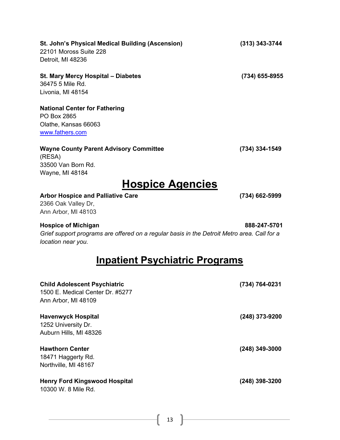| St. John's Physical Medical Building (Ascension)<br>22101 Moross Suite 228<br>Detroit, MI 48236                                                 | $(313)$ 343-3744 |
|-------------------------------------------------------------------------------------------------------------------------------------------------|------------------|
| St. Mary Mercy Hospital - Diabetes<br>36475 5 Mile Rd.<br>Livonia, MI 48154                                                                     | (734) 655-8955   |
| <b>National Center for Fathering</b><br>PO Box 2865<br>Olathe, Kansas 66063<br>www.fathers.com                                                  |                  |
| <b>Wayne County Parent Advisory Committee</b><br>(RESA)<br>33500 Van Born Rd.<br>Wayne, MI 48184                                                | (734) 334-1549   |
| <b>Hospice Agencies</b><br><b>Arbor Hospice and Palliative Care</b><br>2366 Oak Valley Dr,<br>Ann Arbor, MI 48103                               | (734) 662-5999   |
| <b>Hospice of Michigan</b><br>Grief support programs are offered on a regular basis in the Detroit Metro area. Call for a<br>location near you. | 888-247-5701     |
| <b>Inpatient Psychiatric Programs</b>                                                                                                           |                  |
| <b>Child Adolescent Psychiatric</b><br>1500 E. Medical Center Dr. #5277<br>Ann Arbor, MI 48109                                                  | (734) 764-0231   |
| <b>Havenwyck Hospital</b><br>1252 University Dr.<br>Auburn Hills, MI 48326                                                                      | (248) 373-9200   |
| <b>Hawthorn Center</b>                                                                                                                          | $(248)$ 349-3000 |

18471 Haggerty Rd. Northville, MI 48167

#### Henry Ford Kingswood Hospital **Material 1998-1200** (248) 398-3200

10300 W. 8 Mile Rd.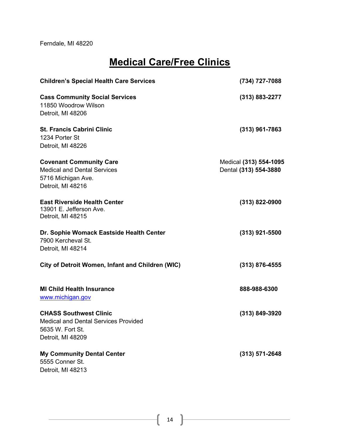Ferndale, MI 48220

#### Medical Care/Free Clinics

| <b>Children's Special Health Care Services</b>                                                                        | (734) 727-7088                                  |
|-----------------------------------------------------------------------------------------------------------------------|-------------------------------------------------|
| <b>Cass Community Social Services</b><br>11850 Woodrow Wilson<br>Detroit, MI 48206                                    | $(313) 883 - 2277$                              |
| <b>St. Francis Cabrini Clinic</b><br>1234 Porter St<br>Detroit, MI 48226                                              | $(313)$ 961-7863                                |
| <b>Covenant Community Care</b><br><b>Medical and Dental Services</b><br>5716 Michigan Ave.<br>Detroit, MI 48216       | Medical (313) 554-1095<br>Dental (313) 554-3880 |
| <b>East Riverside Health Center</b><br>13901 E. Jefferson Ave.<br>Detroit, MI 48215                                   | $(313)$ 822-0900                                |
| Dr. Sophie Womack Eastside Health Center<br>7900 Kercheval St.<br>Detroit, MI 48214                                   | $(313)$ 921-5500                                |
| City of Detroit Women, Infant and Children (WIC)                                                                      | $(313)$ 876-4555                                |
| <b>MI Child Health Insurance</b><br>www.michigan.gov                                                                  | 888-988-6300                                    |
| <b>CHASS Southwest Clinic</b><br><b>Medical and Dental Services Provided</b><br>5635 W. Fort St.<br>Detroit, MI 48209 | (313) 849-3920                                  |
| <b>My Community Dental Center</b><br>5555 Conner St.<br>Detroit, MI 48213                                             | $(313) 571 - 2648$                              |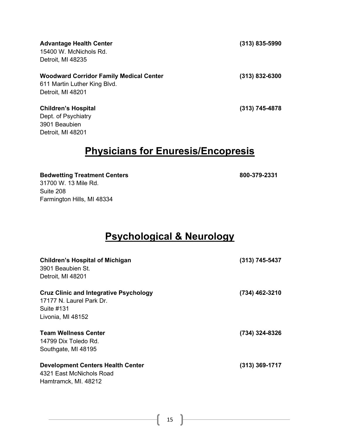| <b>Advantage Health Center</b><br>15400 W. McNichols Rd.                       | (313) 835-5990 |
|--------------------------------------------------------------------------------|----------------|
| Detroit, MI 48235                                                              |                |
| <b>Woodward Corridor Family Medical Center</b><br>611 Martin Luther King Blvd. | (313) 832-6300 |
| Detroit, MI 48201                                                              |                |
| <b>Children's Hospital</b><br>Dept. of Psychiatry                              | (313) 745-4878 |
| 3901 Beaubien                                                                  |                |
| Detroit, MI 48201                                                              |                |

#### Physicians for Enuresis/Encopresis

Bedwetting Treatment Centers 800-379-2331 31700 W. 13 Mile Rd. Suite 208

Farmington Hills, MI 48334

#### Psychological & Neurology

| <b>Children's Hospital of Michigan</b><br>3901 Beaubien St.<br>Detroit, MI 48201                             | (313) 745-5437   |
|--------------------------------------------------------------------------------------------------------------|------------------|
| <b>Cruz Clinic and Integrative Psychology</b><br>17177 N. Laurel Park Dr.<br>Suite #131<br>Livonia, MI 48152 | (734) 462-3210   |
| <b>Team Wellness Center</b><br>14799 Dix Toledo Rd.<br>Southgate, MI 48195                                   | (734) 324-8326   |
| <b>Development Centers Health Center</b><br>4321 East McNichols Road<br>Hamtramck, MI. 48212                 | $(313)$ 369-1717 |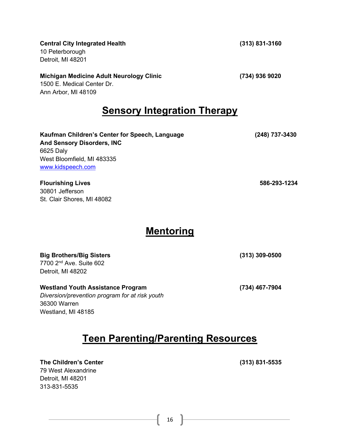#### Central City Integrated Health (313) 831-3160

10 Peterborough Detroit, MI 48201

#### Michigan Medicine Adult Neurology Clinic (734) 936 9020

1500 E. Medical Center Dr. Ann Arbor, MI 48109

#### **Sensory Integration Therapy**

Kaufman Children's Center for Speech, Language (248) 737-3430 And Sensory Disorders, INC 6625 Daly West Bloomfield, MI 483335 www.kidspeech.com

Flourishing Lives 586-293-1234 30801 Jefferson St. Clair Shores, MI 48082

#### **Mentoring**

| <b>Big Brothers/Big Sisters</b>                | $(313)$ 309-0500 |
|------------------------------------------------|------------------|
| 7700 2 <sup>nd</sup> Ave. Suite 602            |                  |
| Detroit, MI 48202                              |                  |
| <b>Westland Youth Assistance Program</b>       | (734) 467-7904   |
| Diversion/prevention program for at risk youth |                  |
| 36300 Warren                                   |                  |

## Teen Parenting/Parenting Resources

The Children's Center (313) 831-5535 79 West Alexandrine Detroit, MI 48201 313-831-5535

Westland, MI 48185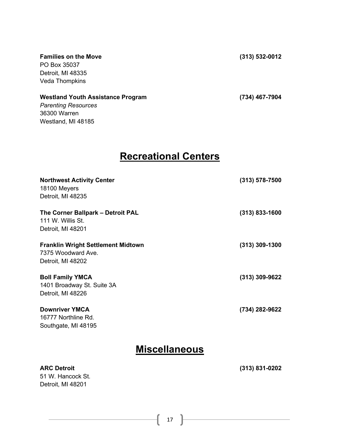Families on the Move (313) 532-0012 PO Box 35037

Detroit, MI 48335 Veda Thompkins

Detroit, MI 48201

#### Westland Youth Assistance Program (734) 467-7904 Parenting Resources 36300 Warren Westland, MI 48185

#### Recreational Centers

| <b>Northwest Activity Center</b><br>18100 Meyers<br>Detroit, MI 48235                | $(313) 578 - 7500$ |
|--------------------------------------------------------------------------------------|--------------------|
| The Corner Ballpark - Detroit PAL<br>111 W. Willis St.<br>Detroit, MI 48201          | $(313)$ 833-1600   |
| <b>Franklin Wright Settlement Midtown</b><br>7375 Woodward Ave.<br>Detroit, MI 48202 | $(313)$ 309-1300   |
| <b>Boll Family YMCA</b><br>1401 Broadway St. Suite 3A<br>Detroit, MI 48226           | $(313)$ 309-9622   |
| <b>Downriver YMCA</b><br>16777 Northline Rd.<br>Southgate, MI 48195                  | (734) 282-9622     |
| <b>Miscellaneous</b>                                                                 |                    |
| <b>ARC Detroit</b><br>51 W. Hancock St.                                              | $(313) 831 - 0202$ |